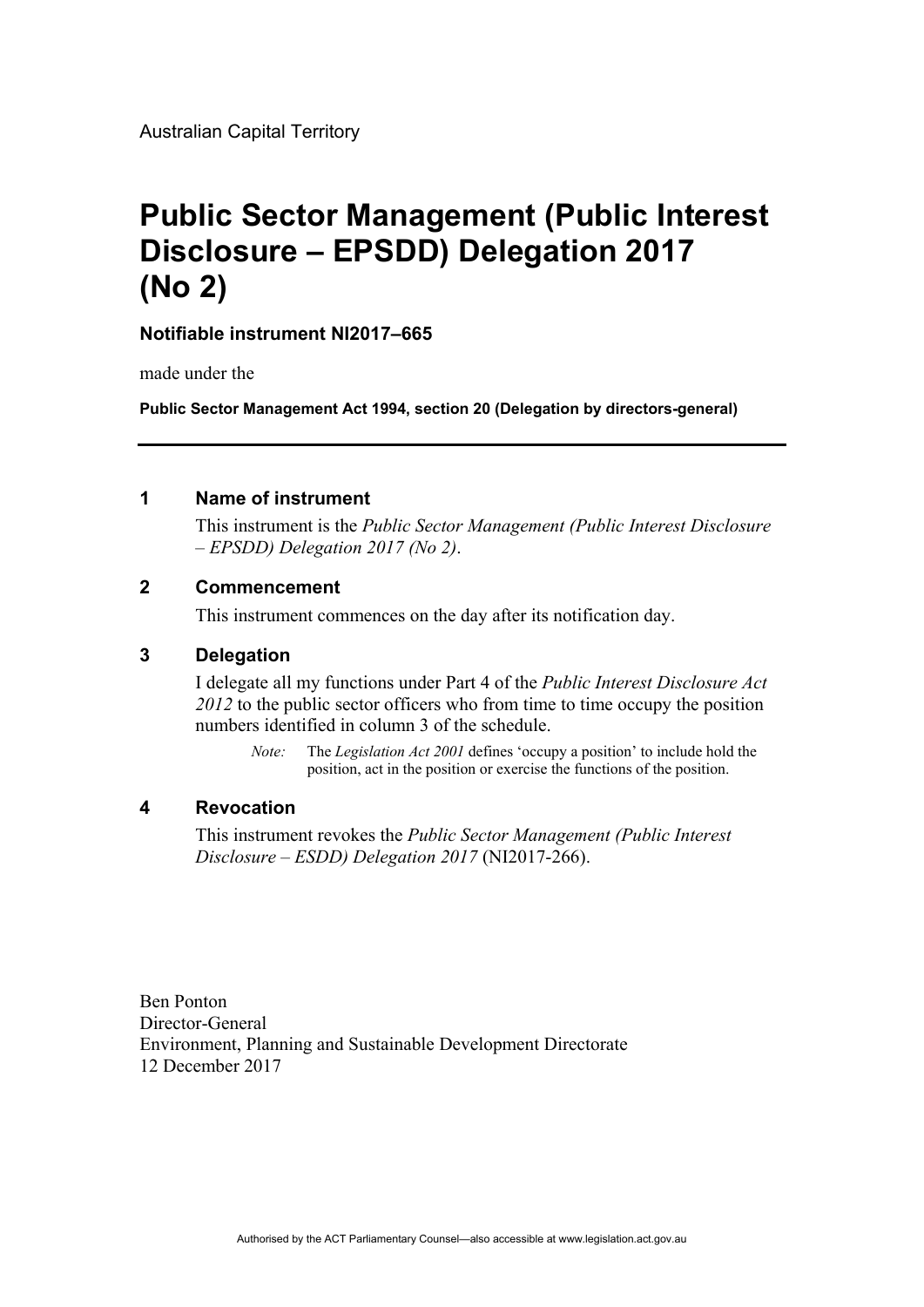Australian Capital Territory

# **Public Sector Management (Public Interest Disclosure – EPSDD) Delegation 2017 (No 2)**

### **Notifiable instrument NI2017–665**

made under the

**Public Sector Management Act 1994, section 20 (Delegation by directors-general)**

#### **1 Name of instrument**

This instrument is the *Public Sector Management (Public Interest Disclosure – EPSDD) Delegation 2017 (No 2)*.

### **2 Commencement**

This instrument commences on the day after its notification day.

#### **3 Delegation**

I delegate all my functions under Part 4 of the *Public Interest Disclosure Act 2012* to the public sector officers who from time to time occupy the position numbers identified in column 3 of the schedule.

*Note:* The *Legislation Act 2001* defines 'occupy a position' to include hold the position, act in the position or exercise the functions of the position.

#### **4 Revocation**

This instrument revokes the *Public Sector Management (Public Interest Disclosure – ESDD) Delegation 2017* (NI2017-266).

Ben Ponton Director-General Environment, Planning and Sustainable Development Directorate 12 December 2017